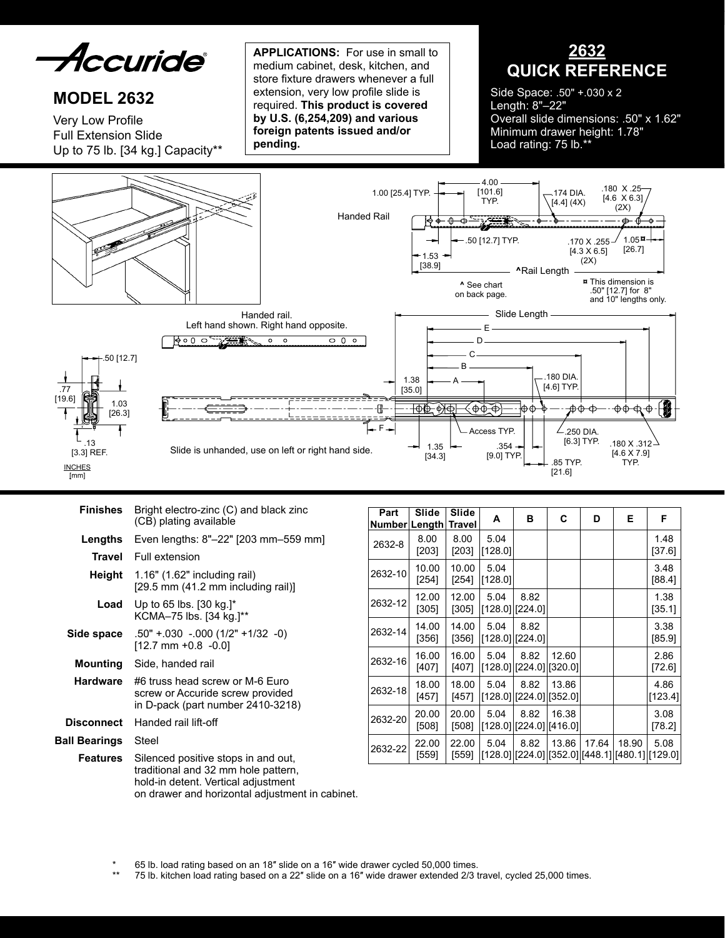

# **MODEL 2632**

Very Low Profile Full Extension Slide Up to 75 lb. [34 kg.] Capacity\*\*

**APPLICATIONS:** For use in small to medium cabinet, desk, kitchen, and store fixture drawers whenever a full extension, very low profile slide is required. **This product is covered by U.S. (6,254,209) and various foreign patents issued and/or pending.**

**2632 QUICK REFERENCE**

Side Space: .50" +.030 x 2 Length: 8"–22" Overall slide dimensions: .50" x 1.62" Minimum drawer height: 1.78" Load rating: 75 lb.\*\*



| Finishes             | Bright electro-zinc (C) and black zinc<br>(CB) plating available                                                                                                     |
|----------------------|----------------------------------------------------------------------------------------------------------------------------------------------------------------------|
| Lengths              | Even lengths: 8"-22" [203 mm-559 mm]                                                                                                                                 |
|                      | <b>Travel</b> Full extension                                                                                                                                         |
|                      | <b>Height</b> $1.16$ " (1.62" including rail)<br>$[29.5$ mm $(41.2$ mm including rail)                                                                               |
| Load                 | Up to 65 lbs. $[30 \text{ kg.}]^*$<br>KCMA-75 lbs. [34 kg.]**                                                                                                        |
| Side space           | $.50" + .030 - .000 (1/2" + 1/32 - 0)$<br>$[12.7$ mm +0.8 -0.0]                                                                                                      |
|                      | <b>Mounting</b> Side, handed rail                                                                                                                                    |
| <b>Hardware</b>      | #6 truss head screw or M-6 Euro<br>screw or Accuride screw provided<br>in D-pack (part number 2410-3218)                                                             |
| Disconnect           | Handed rail lift-off                                                                                                                                                 |
| <b>Ball Bearings</b> | Steel                                                                                                                                                                |
| Features             | Silenced positive stops in and out,<br>traditional and 32 mm hole pattern,<br>hold-in detent. Vertical adjustment<br>on drawer and horizontal adjustment in cabinet. |

| Part<br>Number∣Length | Slide            | Slide<br>Travel  | Α                           | в                             | C     | D     | Е     | F                                                    |
|-----------------------|------------------|------------------|-----------------------------|-------------------------------|-------|-------|-------|------------------------------------------------------|
| 2632-8                | 8.00<br>$[203]$  | 8.00<br>$[203]$  | 5.04<br>[128.0]             |                               |       |       |       | 1.48<br>[37.6]                                       |
| 2632-10               | 10.00<br>[254]   | 10.00<br>$[254]$ | 5.04<br>[128.0]             |                               |       |       |       | 3.48<br>[88.4]                                       |
| 2632-12               | 12.00<br>$[305]$ | 12.00<br>$[305]$ | 5.04<br>$[128.0]$ $[224.0]$ | 8.82                          |       |       |       | 1.38<br>[35.1]                                       |
| 2632-14               | 14.00<br>[356]   | 14.00<br>[356]   | 5.04<br>$[128.0]$ $[224.0]$ | 8.82                          |       |       |       | 3.38<br>[85.9]                                       |
| 2632-16               | 16.00<br>$[407]$ | 16.00<br>[407]   | 5.04                        | 8.82<br>[128.0][224.0][320.0] | 12.60 |       |       | 2.86<br>[72.6]                                       |
| 2632-18               | 18.00<br>$[457]$ | 18.00<br>[457]   | 5.04                        | 8.82<br>[128.0][224.0][352.0] | 13.86 |       |       | 4.86<br>[123.4]                                      |
| 2632-20               | 20.00<br>$[508]$ | 20.00<br>[508]   | 5.04                        | 8.82<br>[128.0][224.0][416.0] | 16.38 |       |       | 3.08<br>[78.2]                                       |
| 2632-22               | 22.00<br>[559]   | 22.00<br>[559]   | 5.04                        | 8.82                          | 13.86 | 17.64 | 18.90 | 5.08<br>$[128.0][224.0][352.0][448.1][480.1][129.0]$ |

65 lb. load rating based on an 18" slide on a 16" wide drawer cycled 50,000 times.

75 lb. kitchen load rating based on a 22" slide on a 16" wide drawer extended 2/3 travel, cycled 25,000 times.